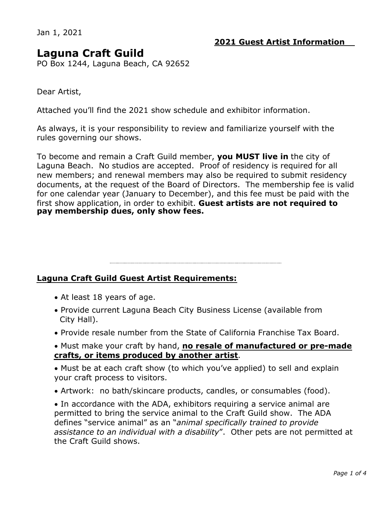Jan 1, 2021

# **Laguna Craft Guild**

PO Box 1244, Laguna Beach, CA 92652

Dear Artist,

Attached you'll find the 2021 show schedule and exhibitor information.

As always, it is your responsibility to review and familiarize yourself with the rules governing our shows.

To become and remain a Craft Guild member, **you MUST live in** the city of Laguna Beach. No studios are accepted. Proof of residency is required for all new members; and renewal members may also be required to submit residency documents, at the request of the Board of Directors. The membership fee is valid for one calendar year (January to December), and this fee must be paid with the first show application, in order to exhibit. **Guest artists are not required to pay membership dues, only show fees.** 

## **Laguna Craft Guild Guest Artist Requirements:**

- · At least 18 years of age.
- · Provide current Laguna Beach City Business License (available from City Hall).
- · Provide resale number from the State of California Franchise Tax Board.

· Must make your craft by hand, **no resale of manufactured or pre-made crafts, or items produced by another artist**.

· Must be at each craft show (to which you've applied) to sell and explain your craft process to visitors.

· Artwork: no bath/skincare products, candles, or consumables (food).

· In accordance with the ADA, exhibitors requiring a service animal are permitted to bring the service animal to the Craft Guild show. The ADA defines "service animal" as an "*animal specifically trained to provide assistance to an individual with a disability*". Other pets are not permitted at the Craft Guild shows.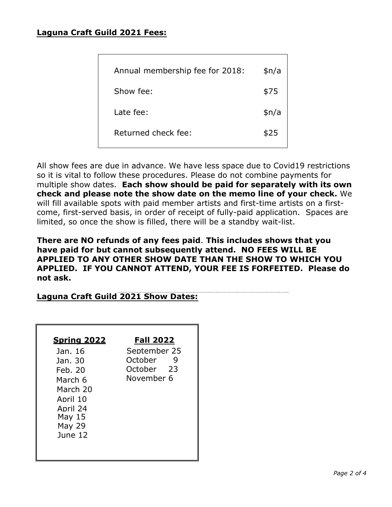## **Laguna Craft Guild 2021 Fees:**

| Annual membership fee for 2018: | \$n/a |
|---------------------------------|-------|
| Show fee:                       | \$75  |
| Late fee:                       | \$n/a |
| Returned check fee:             | \$25  |
|                                 |       |

All show fees are due in advance. We have less space due to Covid19 restrictions so it is vital to follow these procedures. Please do not combine payments for multiple show dates. **Each show should be paid for separately with its own check and please note the show date on the memo line of your check.** We will fill available spots with paid member artists and first-time artists on a firstcome, first-served basis, in order of receipt of fully-paid application. Spaces are limited, so once the show is filled, there will be a standby wait-list.

**There are NO refunds of any fees paid**. **This includes shows that you have paid for but cannot subsequently attend. NO FEES WILL BE APPLIED TO ANY OTHER SHOW DATE THAN THE SHOW TO WHICH YOU APPLIED. IF YOU CANNOT ATTEND, YOUR FEE IS FORFEITED. Please do not ask.** 

## **Laguna Craft Guild 2021 Show Dates:**

| <b>Fall 2022</b>                                         |
|----------------------------------------------------------|
| September 25<br>October<br>ч<br>October 23<br>November 6 |
|                                                          |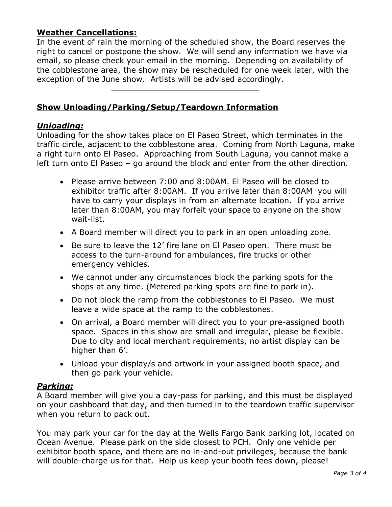## **Weather Cancellations:**

In the event of rain the morning of the scheduled show, the Board reserves the right to cancel or postpone the show. We will send any information we have via email, so please check your email in the morning. Depending on availability of the cobblestone area, the show may be rescheduled for one week later, with the exception of the June show. Artists will be advised accordingly.

## **Show Unloading/Parking/Setup/Teardown Information**

#### *Unloading:*

Unloading for the show takes place on El Paseo Street, which terminates in the traffic circle, adjacent to the cobblestone area. Coming from North Laguna, make a right turn onto El Paseo. Approaching from South Laguna, you cannot make a left turn onto El Paseo – go around the block and enter from the other direction.

- · Please arrive between 7:00 and 8:00AM. El Paseo will be closed to exhibitor traffic after 8:00AM. If you arrive later than 8:00AM you will have to carry your displays in from an alternate location. If you arrive later than 8:00AM, you may forfeit your space to anyone on the show wait-list.
- · A Board member will direct you to park in an open unloading zone.
- · Be sure to leave the 12' fire lane on El Paseo open. There must be access to the turn-around for ambulances, fire trucks or other emergency vehicles.
- · We cannot under any circumstances block the parking spots for the shops at any time. (Metered parking spots are fine to park in).
- · Do not block the ramp from the cobblestones to El Paseo. We must leave a wide space at the ramp to the cobblestones.
- · On arrival, a Board member will direct you to your pre-assigned booth space. Spaces in this show are small and irregular, please be flexible. Due to city and local merchant requirements, no artist display can be higher than 6'.
- · Unload your display/s and artwork in your assigned booth space, and then go park your vehicle.

## *Parking:*

A Board member will give you a day-pass for parking, and this must be displayed on your dashboard that day, and then turned in to the teardown traffic supervisor when you return to pack out.

You may park your car for the day at the Wells Fargo Bank parking lot, located on Ocean Avenue. Please park on the side closest to PCH. Only one vehicle per exhibitor booth space, and there are no in-and-out privileges, because the bank will double-charge us for that. Help us keep your booth fees down, please!